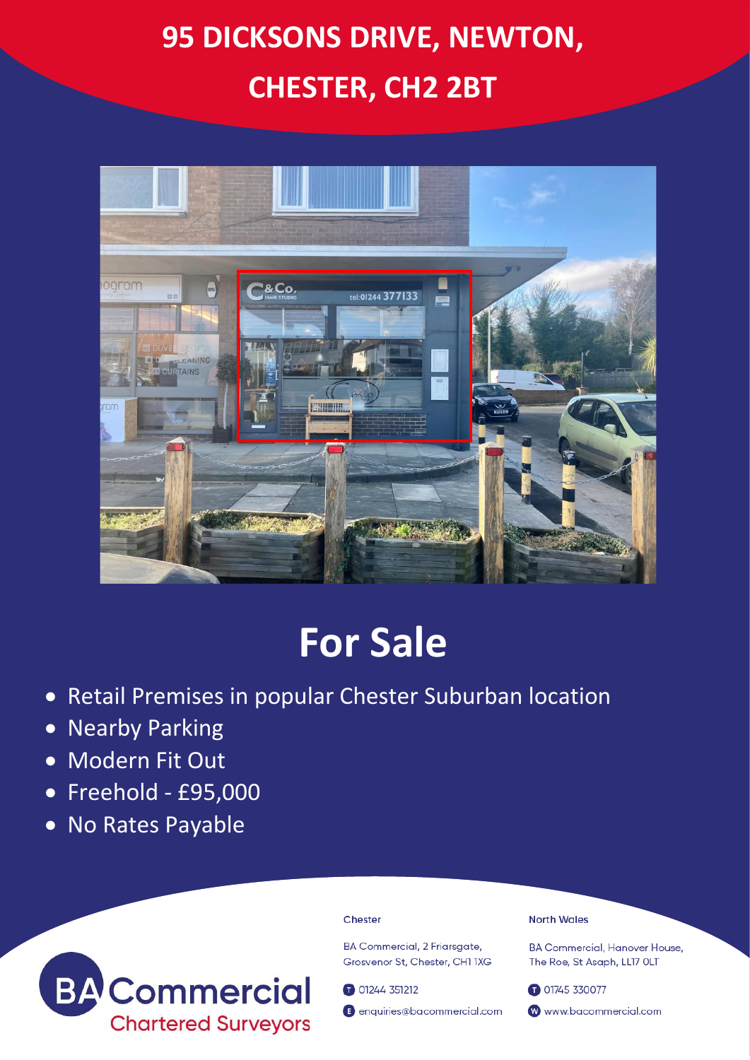# **95 DICKSONS DRIVE, NEWTON, CHESTER, CH2 2BT**



## **For Sale**

- Retail Premises in popular Chester Suburban location
- Nearby Parking
- Modern Fit Out
- Freehold £95,000
- No Rates Payable



#### Chester

**BA Commercial, 2 Friarsaate,** Grosvenor St. Chester, CH1 1XG

01244 351212

enquiries@bacommercial.com

#### **North Wales**

**BA Commercial, Hanover House.** The Roe, St Asaph, LL17 OLT

01745 330077 www.bacommercial.com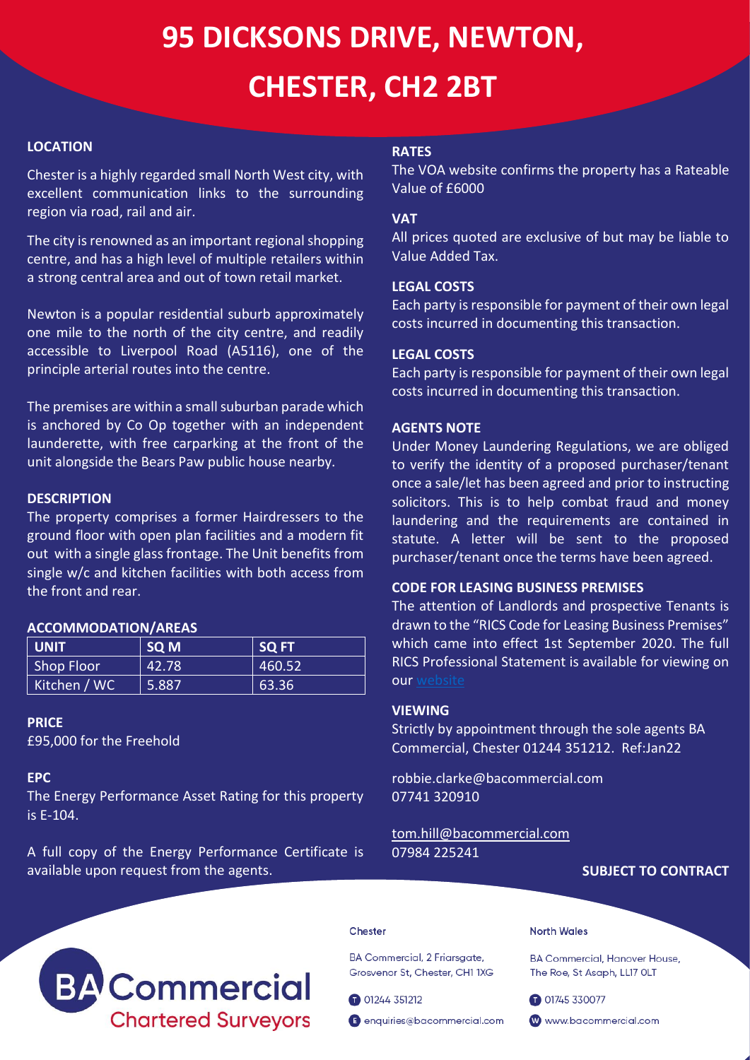# **95 DICKSONS DRIVE, NEWTON, CHESTER, CH2 2BT**

### **LOCATION**

Chester is a highly regarded small North West city, with excellent communication links to the surrounding region via road, rail and air.

The city is renowned as an important regional shopping centre, and has a high level of multiple retailers within a strong central area and out of town retail market.

Newton is a popular residential suburb approximately one mile to the north of the city centre, and readily accessible to Liverpool Road (A5116), one of the principle arterial routes into the centre.

The premises are within a small suburban parade which is anchored by Co Op together with an independent launderette, with free carparking at the front of the unit alongside the Bears Paw public house nearby.

### **DESCRIPTION**

The property comprises a former Hairdressers to the ground floor with open plan facilities and a modern fit out with a single glass frontage. The Unit benefits from single w/c and kitchen facilities with both access from the front and rear.

### **ACCOMMODATION/AREAS**

| <b>UNIT</b>  | <b>SQM</b> | SQ FT  |
|--------------|------------|--------|
| Shop Floor   | 42.78      | 460.52 |
| Kitchen / WC | 5.887      | 63.36  |

#### **PRICE**

£95,000 for the Freehold

## **EPC**

The Energy Performance Asset Rating for this property is E-104.

A full copy of the Energy Performance Certificate is available upon request from the agents.

### **RATES**

The VOA website confirms the property has a Rateable Value of £6000

### **VAT**

All prices quoted are exclusive of but may be liable to Value Added Tax.

### **LEGAL COSTS**

Each party is responsible for payment of their own legal costs incurred in documenting this transaction.

## **LEGAL COSTS**

Each party is responsible for payment of their own legal costs incurred in documenting this transaction.

#### **AGENTS NOTE**

Under Money Laundering Regulations, we are obliged to verify the identity of a proposed purchaser/tenant once a sale/let has been agreed and prior to instructing solicitors. This is to help combat fraud and money laundering and the requirements are contained in statute. A letter will be sent to the proposed purchaser/tenant once the terms have been agreed.

## **CODE FOR LEASING BUSINESS PREMISES**

The attention of Landlords and prospective Tenants is drawn to the "RICS Code for Leasing Business Premises" which came into effect 1st September 2020. The full RICS Professional Statement is available for viewing on ou[r website](https://www.bacommercial.com/wp-content/uploads/2020/09/code-for-leasing_ps-version_feb-2020.pdf)

#### **VIEWING**

Strictly by appointment through the sole agents BA Commercial, Chester 01244 351212. Ref:Jan22

robbie.clarke@bacommercial.com 07741 320910

[tom.hill@bacommercial.com](mailto:tom.hill@bacommercial.com) 07984 225241

## **SUBJECT TO CONTRACT**



#### Chester

BA Commercial, 2 Friarsgate, Grosvenor St, Chester, CH1 1XG

01244 351212

enquiries@bacommercial.com

**North Wales** 

**BA Commercial, Hanover House,** The Roe, St Asaph, LL17 OLT

01745 330077

www.bacommercial.com